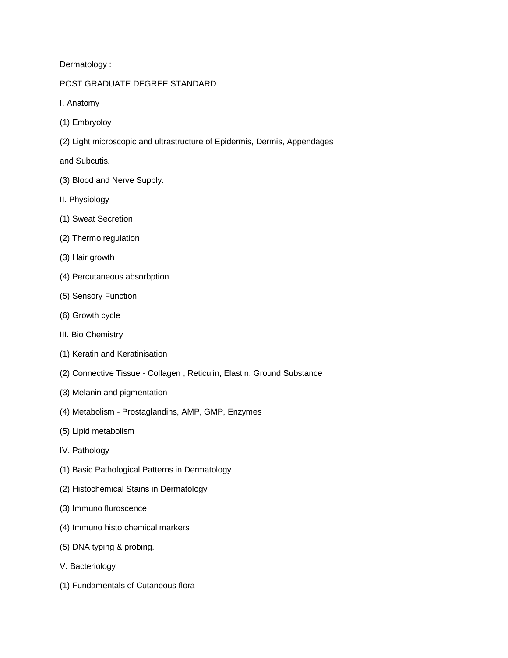Dermatology :

## POST GRADUATE DEGREE STANDARD

- I. Anatomy
- (1) Embryoloy
- (2) Light microscopic and ultrastructure of Epidermis, Dermis, Appendages

and Subcutis.

- (3) Blood and Nerve Supply.
- II. Physiology
- (1) Sweat Secretion
- (2) Thermo regulation
- (3) Hair growth
- (4) Percutaneous absorbption
- (5) Sensory Function
- (6) Growth cycle
- III. Bio Chemistry
- (1) Keratin and Keratinisation
- (2) Connective Tissue Collagen , Reticulin, Elastin, Ground Substance
- (3) Melanin and pigmentation
- (4) Metabolism Prostaglandins, AMP, GMP, Enzymes
- (5) Lipid metabolism
- IV. Pathology
- (1) Basic Pathological Patterns in Dermatology
- (2) Histochemical Stains in Dermatology
- (3) Immuno fluroscence
- (4) Immuno histo chemical markers
- (5) DNA typing & probing.
- V. Bacteriology
- (1) Fundamentals of Cutaneous flora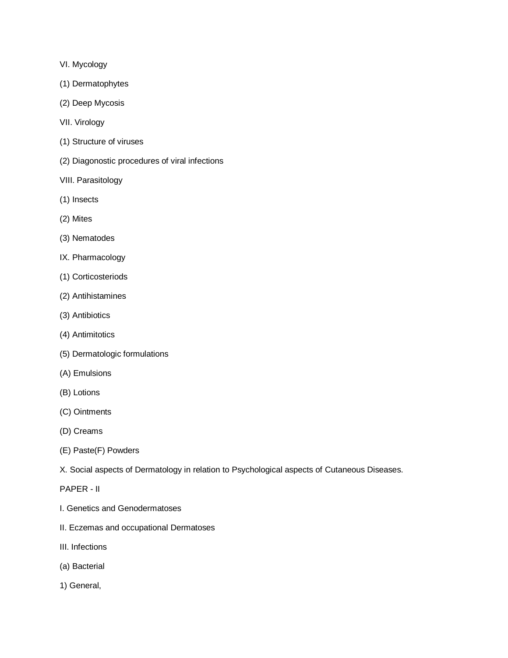- VI. Mycology
- (1) Dermatophytes
- (2) Deep Mycosis
- VII. Virology
- (1) Structure of viruses
- (2) Diagonostic procedures of viral infections
- VIII. Parasitology
- (1) Insects
- (2) Mites
- (3) Nematodes
- IX. Pharmacology
- (1) Corticosteriods
- (2) Antihistamines
- (3) Antibiotics
- (4) Antimitotics
- (5) Dermatologic formulations
- (A) Emulsions
- (B) Lotions
- (C) Ointments
- (D) Creams
- (E) Paste(F) Powders
- X. Social aspects of Dermatology in relation to Psychological aspects of Cutaneous Diseases.
- PAPER II
- I. Genetics and Genodermatoses
- II. Eczemas and occupational Dermatoses
- III. Infections
- (a) Bacterial
- 1) General,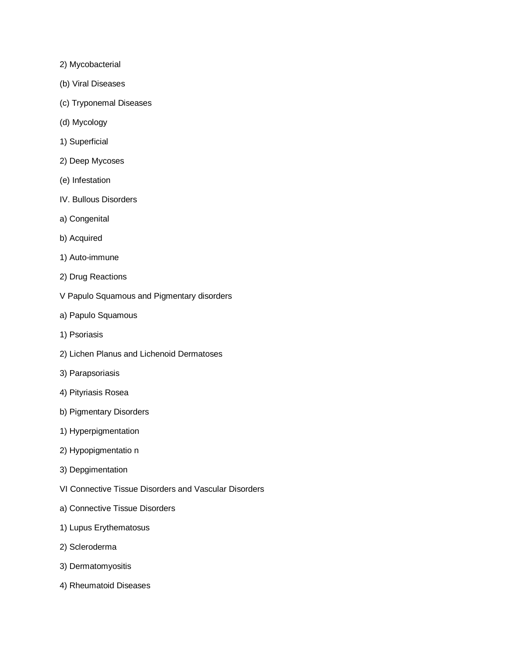- 2) Mycobacterial
- (b) Viral Diseases
- (c) Tryponemal Diseases
- (d) Mycology
- 1) Superficial
- 2) Deep Mycoses
- (e) Infestation
- IV. Bullous Disorders
- a) Congenital
- b) Acquired
- 1) Auto-immune
- 2) Drug Reactions
- V Papulo Squamous and Pigmentary disorders
- a) Papulo Squamous
- 1) Psoriasis
- 2) Lichen Planus and Lichenoid Dermatoses
- 3) Parapsoriasis
- 4) Pityriasis Rosea
- b) Pigmentary Disorders
- 1) Hyperpigmentation
- 2) Hypopigmentatio n
- 3) Depgimentation
- VI Connective Tissue Disorders and Vascular Disorders
- a) Connective Tissue Disorders
- 1) Lupus Erythematosus
- 2) Scleroderma
- 3) Dermatomyositis
- 4) Rheumatoid Diseases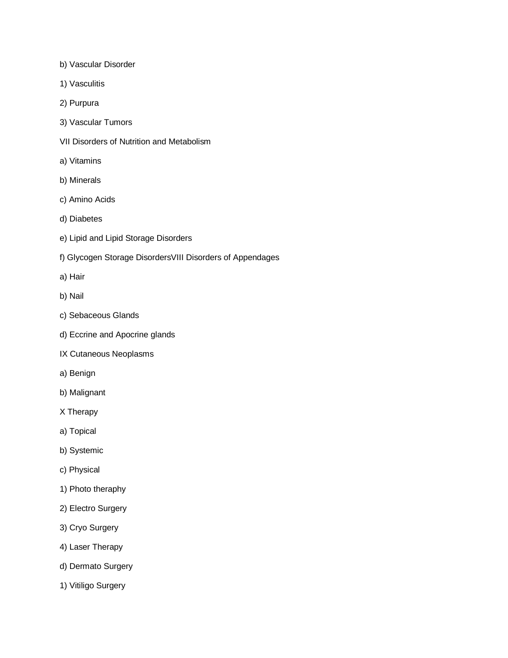- b) Vascular Disorder
- 1) Vasculitis
- 2) Purpura
- 3) Vascular Tumors
- VII Disorders of Nutrition and Metabolism
- a) Vitamins
- b) Minerals
- c) Amino Acids
- d) Diabetes
- e) Lipid and Lipid Storage Disorders
- f) Glycogen Storage DisordersVIII Disorders of Appendages
- a) Hair
- b) Nail
- c) Sebaceous Glands
- d) Eccrine and Apocrine glands
- IX Cutaneous Neoplasms
- a) Benign
- b) Malignant
- X Therapy
- a) Topical
- b) Systemic
- c) Physical
- 1) Photo theraphy
- 2) Electro Surgery
- 3) Cryo Surgery
- 4) Laser Therapy
- d) Dermato Surgery
- 1) Vitiligo Surgery